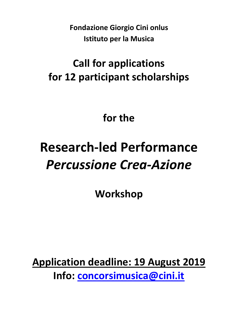**Fondazione Giorgio Cini onlus Istituto per la Musica**

# **Call for applications for 12 participant scholarships**

## **for the**

# **Research-led Performance** *Percussione Crea-Azione*

**Workshop** 

**Application deadline: 19 August 2019 Info: [concorsimusica@cini.it](mailto:concorsimusica@cini.it)**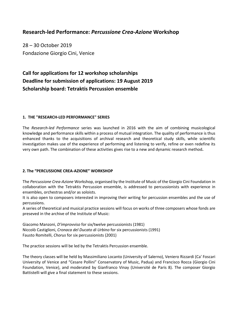### **Research-led Performance:** *Percussione Crea-Azione* **Workshop**

28 – 30 October 2019 Fondazione Giorgio Cini, Venice

## **Call for applications for 12 workshop scholarships Deadline for submission of applications: 19 August 2019 Scholarship board: Tetraktis Percussion ensemble**

#### **1. THE "RESEARCH-LED PERFORMANCE" SERIES**

The *Research-led Performance* series was launched in 2016 with the aim of combining musicological knowledge and performance skills within a process of mutual integration. The quality of performance is thus enhanced thanks to the acquisitions of archival research and theoretical study skills, while scientific investigation makes use of the experience of performing and listening to verify, refine or even redefine its very own path. The combination of these activities gives rise to a new and dynamic research method**.**

#### **2. The "PERCUSSIONE CREA-AZIONE" WORKSHOP**

The *Percussione Crea-Azione* Workshop, organised by the Institute of Music of the Giorgio Cini Foundation in collaboration with the Tetraktis Percussion ensemble, is addressed to percussionists with experience in ensembles, orchestras and/or as soloists.

It is also open to composers interested in improving their writing for percussion ensembles and the use of percussions.

A series of theoretical and musical practice sessions will focus on works of three composers whose fonds are preseved in the archive of the Institute of Music:

Giacomo Manzoni, *D'improvviso* for six/twelve percussionists (1981) Niccolò Castiglioni, *Cronaca del Ducato di Urbino* for six percussionists (1991) Fausto Romitelli, *Chorus* for six percussionists (2001)

The practice sessions will be led by the Tetraktis Percussion ensemble.

The theory classes will be held by Massimiliano Locanto (University of Salerno), Veniero Rizzardi (Ca' Foscari University of Venice and "Cesare Pollini" Conservatory of Music, Padua) and Francisco Rocca (Giorgio Cini Foundation, Venice), and moderated by Gianfranco Vinay (Université de Paris 8). The composer Giorgio Battistelli will give a final statement to these sessions.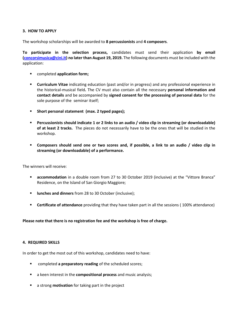#### **3. HOW TO APPLY**

The workshop scholarships will be awarded to **8 percussionists** and **4 composers**.

**To participate in the selection process,** candidates must send their application **by email [\(concorsimusica@cini.it\)](mailto:concorsimusica@cini.it) no later than August 19, 2019.** The following documents must be included with the application:

- completed **application form;**
- **Curriculum Vitae** indicating education (past and/or in progress) and any professional experience in the historical-musical field**.** The CV must also contain all the necessary **personal information and contact details** and be accompanied by **signed consent for the processing of personal data** for the sole purpose of the seminar itself;
- **Short personal statement (max. 2 typed pages);**
- **Percussionists should indicate 1 or 2 links to an audio / video clip in streaming (or downloadable) of at least 2 tracks.** The pieces do not necessarily have to be the ones that will be studied in the workshop.
- **Composers should send one or two scores and, if possible, a link to an audio / video clip in streaming (or downloadable) of a performance.**

The winners will receive:

- **accommodation** in a double room from 27 to 30 October 2019 (inclusive) at the "Vittore Branca" Residence, on the Island of San Giorgio Maggiore;
- **ILUNCHER 4.5 THE 10 INCRET SHEADER FROM 28 to 30 October (inclusive);**
- **Certificate of attendance** providing that they have taken part in all the sessions ( 100% attendance)

**Please note that there is no registration fee and the workshop is free of charge.** 

#### **4. REQUIRED SKILLS**

In order to get the most out of this workshop, candidates need to have:

- completed **a preparatory reading** of the scheduled scores;
- a keen interest in the **compositional process** and music analysis;
- a strong **motivation** for taking part in the project